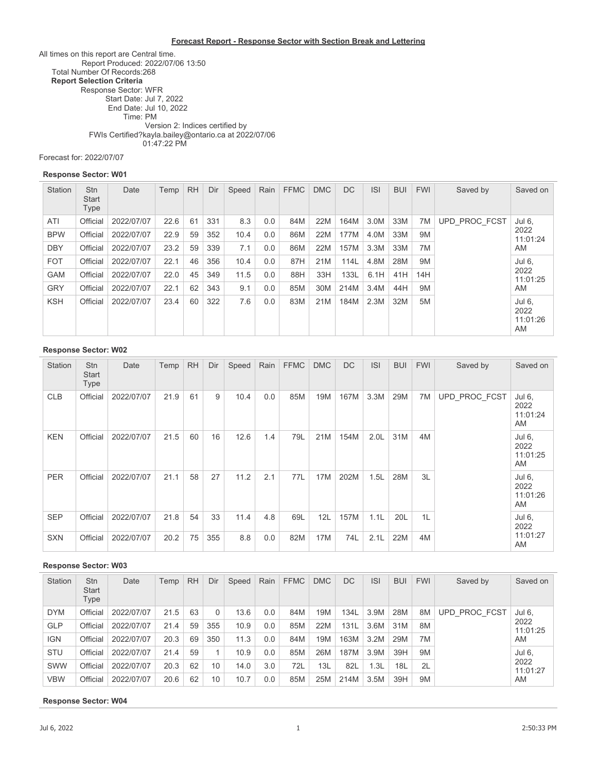#### **Forecast Report - Response Sector with Section Break and Lettering**

All times on this report are Central time. Report Produced: 2022/07/06 13:50 Total Number Of Records:268 **Report Selection Criteria** Response Sector: WFR Start Date: Jul 7, 2022 End Date: Jul 10, 2022 Time: PM FWIs Certified? Version 2: Indices certified by kayla.bailey@ontario.ca at 2022/07/06 01:47:22 PM

Forecast for: 2022/07/07

#### **Response Sector: W01**

| Station    | <b>Stn</b><br><b>Start</b><br>Type | Date       | Temp | <b>RH</b> | Dir | Speed | Rain | <b>FFMC</b> | <b>DMC</b> | <b>DC</b> | <b>ISI</b> | <b>BUI</b> | <b>FWI</b> | Saved by      | Saved on                         |
|------------|------------------------------------|------------|------|-----------|-----|-------|------|-------------|------------|-----------|------------|------------|------------|---------------|----------------------------------|
| ATI        | Official                           | 2022/07/07 | 22.6 | 61        | 331 | 8.3   | 0.0  | 84M         | 22M        | 164M      | 3.0M       | 33M        | 7M         | UPD PROC FCST | Jul 6,                           |
| <b>BPW</b> | Official                           | 2022/07/07 | 22.9 | 59        | 352 | 10.4  | 0.0  | 86M         | 22M        | 177M      | 4.0M       | 33M        | 9M         |               | 2022<br>11:01:24                 |
| <b>DBY</b> | Official                           | 2022/07/07 | 23.2 | 59        | 339 | 7.1   | 0.0  | 86M         | 22M        | 157M      | 3.3M       | 33M        | 7M         |               | AM                               |
| <b>FOT</b> | Official                           | 2022/07/07 | 22.1 | 46        | 356 | 10.4  | 0.0  | 87H         | 21M        | 114L      | 4.8M       | 28M        | 9M         |               | Jul 6.                           |
| <b>GAM</b> | Official                           | 2022/07/07 | 22.0 | 45        | 349 | 11.5  | 0.0  | 88H         | 33H        | 133L      | 6.1H       | 41H        | 14H        |               | 2022<br>11:01:25                 |
| <b>GRY</b> | Official                           | 2022/07/07 | 22.1 | 62        | 343 | 9.1   | 0.0  | 85M         | 30M        | 214M      | 3.4M       | 44H        | 9M         |               | AM                               |
| <b>KSH</b> | Official                           | 2022/07/07 | 23.4 | 60        | 322 | 7.6   | 0.0  | 83M         | 21M        | 184M      | 2.3M       | 32M        | 5M         |               | Jul 6,<br>2022<br>11:01:26<br>AM |

#### **Response Sector: W02**

| <b>Station</b> | Stn<br>Start<br>Type | Date       | Temp | <b>RH</b> | Dir | Speed | Rain | <b>FFMC</b> | <b>DMC</b> | DC   | <b>ISI</b>       | <b>BUI</b> | <b>FWI</b> | Saved by      | Saved on                         |
|----------------|----------------------|------------|------|-----------|-----|-------|------|-------------|------------|------|------------------|------------|------------|---------------|----------------------------------|
| <b>CLB</b>     | Official             | 2022/07/07 | 21.9 | 61        | 9   | 10.4  | 0.0  | 85M         | 19M        | 167M | 3.3M             | 29M        | 7M         | UPD PROC FCST | Jul 6,<br>2022<br>11:01:24<br>AM |
| <b>KEN</b>     | Official             | 2022/07/07 | 21.5 | 60        | 16  | 12.6  | 1.4  | 79L         | 21M        | 154M | 2.0 <sub>L</sub> | 31M        | 4M         |               | Jul 6,<br>2022<br>11:01:25<br>AM |
| <b>PER</b>     | Official             | 2022/07/07 | 21.1 | 58        | 27  | 11.2  | 2.1  | 77L         | 17M        | 202M | 1.5L             | 28M        | 3L         |               | Jul 6,<br>2022<br>11:01:26<br>AM |
| <b>SEP</b>     | Official             | 2022/07/07 | 21.8 | 54        | 33  | 11.4  | 4.8  | 69L         | 12L        | 157M | 1.1L             | 20L        | 1L         |               | Jul 6,<br>2022                   |
| <b>SXN</b>     | Official             | 2022/07/07 | 20.2 | 75        | 355 | 8.8   | 0.0  | 82M         | 17M        | 74L  | 2.1L             | 22M        | 4M         |               | 11:01:27<br>AM                   |

#### **Response Sector: W03**

| <b>Station</b> | <b>Stn</b><br><b>Start</b><br>Type | Date       | Temp | <b>RH</b> | Dir | Speed | Rain | <b>FFMC</b> | <b>DMC</b> | DC   | <b>ISI</b> | <b>BUI</b> | <b>FWI</b> | Saved by      | Saved on         |
|----------------|------------------------------------|------------|------|-----------|-----|-------|------|-------------|------------|------|------------|------------|------------|---------------|------------------|
| <b>DYM</b>     | Official                           | 2022/07/07 | 21.5 | 63        | 0   | 13.6  | 0.0  | 84M         | 19M        | 134L | 3.9M       | 28M        | 8M         | UPD PROC FCST | Jul 6,           |
| <b>GLP</b>     | Official                           | 2022/07/07 | 21.4 | 59        | 355 | 10.9  | 0.0  | 85M         | 22M        | 131L | 3.6M       | 31M        | 8M         |               | 2022<br>11:01:25 |
| <b>IGN</b>     | Official                           | 2022/07/07 | 20.3 | 69        | 350 | 11.3  | 0.0  | 84M         | 19M        | 163M | 3.2M       | 29M        | 7M         |               | AM               |
| <b>STU</b>     | Official                           | 2022/07/07 | 21.4 | 59        |     | 10.9  | 0.0  | 85M         | 26M        | 187M | 3.9M       | 39H        | 9M         |               | Jul 6.           |
| SWW            | Official                           | 2022/07/07 | 20.3 | 62        | 10  | 14.0  | 3.0  | 72L         | 13L        | 82L  | 1.3L       | 18L        | 2L         |               | 2022<br>11:01:27 |
| <b>VBW</b>     | Official                           | 2022/07/07 | 20.6 | 62        | 10  | 10.7  | 0.0  | 85M         | 25M        | 214M | 3.5M       | 39H        | 9M         |               | AM               |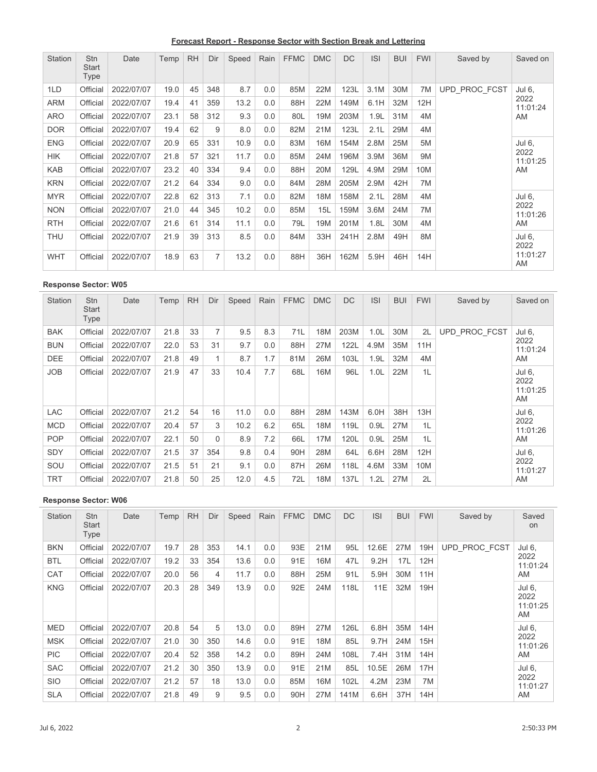**Forecast Report - Response Sector with Section Break and Lettering**

| Station    | <b>Stn</b><br><b>Start</b><br>Type | Date       | Temp | <b>RH</b> | Dir | Speed | Rain | <b>FFMC</b> | <b>DMC</b> | <b>DC</b> | <b>ISI</b> | <b>BUI</b> | <b>FWI</b> | Saved by      | Saved on         |
|------------|------------------------------------|------------|------|-----------|-----|-------|------|-------------|------------|-----------|------------|------------|------------|---------------|------------------|
| 1LD        | Official                           | 2022/07/07 | 19.0 | 45        | 348 | 8.7   | 0.0  | 85M         | 22M        | 123L      | 3.1M       | 30M        | 7M         | UPD PROC FCST | Jul 6,           |
| <b>ARM</b> | Official                           | 2022/07/07 | 19.4 | 41        | 359 | 13.2  | 0.0  | 88H         | 22M        | 149M      | 6.1H       | 32M        | 12H        |               | 2022<br>11:01:24 |
| <b>ARO</b> | Official                           | 2022/07/07 | 23.1 | 58        | 312 | 9.3   | 0.0  | 80L         | 19M        | 203M      | 1.9L       | 31M        | 4M         |               | AM               |
| <b>DOR</b> | Official                           | 2022/07/07 | 19.4 | 62        | 9   | 8.0   | 0.0  | 82M         | 21M        | 123L      | 2.1L       | 29M        | 4M         |               |                  |
| <b>ENG</b> | Official                           | 2022/07/07 | 20.9 | 65        | 331 | 10.9  | 0.0  | 83M         | 16M        | 154M      | 2.8M       | 25M        | 5M         |               | Jul 6,           |
| <b>HIK</b> | Official                           | 2022/07/07 | 21.8 | 57        | 321 | 11.7  | 0.0  | 85M         | 24M        | 196M      | 3.9M       | 36M        | <b>9M</b>  |               | 2022<br>11:01:25 |
| <b>KAB</b> | Official                           | 2022/07/07 | 23.2 | 40        | 334 | 9.4   | 0.0  | 88H         | 20M        | 129L      | 4.9M       | 29M        | 10M        |               | AM               |
| <b>KRN</b> | Official                           | 2022/07/07 | 21.2 | 64        | 334 | 9.0   | 0.0  | 84M         | 28M        | 205M      | 2.9M       | 42H        | 7M         |               |                  |
| <b>MYR</b> | Official                           | 2022/07/07 | 22.8 | 62        | 313 | 7.1   | 0.0  | 82M         | 18M        | 158M      | 2.1L       | 28M        | 4M         |               | Jul 6,           |
| <b>NON</b> | Official                           | 2022/07/07 | 21.0 | 44        | 345 | 10.2  | 0.0  | 85M         | 15L        | 159M      | 3.6M       | 24M        | 7M         |               | 2022<br>11:01:26 |
| <b>RTH</b> | Official                           | 2022/07/07 | 21.6 | 61        | 314 | 11.1  | 0.0  | 79L         | 19M        | 201M      | 1.8L       | 30M        | 4M         |               | AM               |
| <b>THU</b> | Official                           | 2022/07/07 | 21.9 | 39        | 313 | 8.5   | 0.0  | 84M         | 33H        | 241H      | 2.8M       | 49H        | 8M         |               | Jul 6,<br>2022   |
| <b>WHT</b> | Official                           | 2022/07/07 | 18.9 | 63        | 7   | 13.2  | 0.0  | 88H         | 36H        | 162M      | 5.9H       | 46H        | 14H        |               | 11:01:27<br>AM   |

| Station    | <b>Stn</b><br>Start<br>Type | Date       | Temp | <b>RH</b> | Dir      | Speed | Rain | <b>FFMC</b> | <b>DMC</b> | DC   | <b>ISI</b>       | <b>BUI</b> | <b>FWI</b> | Saved by      | Saved on                         |
|------------|-----------------------------|------------|------|-----------|----------|-------|------|-------------|------------|------|------------------|------------|------------|---------------|----------------------------------|
| <b>BAK</b> | Official                    | 2022/07/07 | 21.8 | 33        | 7        | 9.5   | 8.3  | 71L         | 18M        | 203M | 1.0L             | 30M        | 2L         | UPD PROC FCST | Jul 6,                           |
| <b>BUN</b> | Official                    | 2022/07/07 | 22.0 | 53        | 31       | 9.7   | 0.0  | 88H         | 27M        | 122L | 4.9M             | 35M        | 11H        |               | 2022<br>11:01:24                 |
| DEE        | Official                    | 2022/07/07 | 21.8 | 49        | 1        | 8.7   | 1.7  | 81M         | 26M        | 103L | 1.9L             | 32M        | 4M         |               | AM                               |
| <b>JOB</b> | Official                    | 2022/07/07 | 21.9 | 47        | 33       | 10.4  | 7.7  | 68L         | 16M        | 96L  | 1.0 <sub>L</sub> | 22M        | 1L         |               | Jul 6,<br>2022<br>11:01:25<br>AM |
| LAC        | Official                    | 2022/07/07 | 21.2 | 54        | 16       | 11.0  | 0.0  | 88H         | 28M        | 143M | 6.0H             | 38H        | 13H        |               | Jul 6.                           |
| <b>MCD</b> | Official                    | 2022/07/07 | 20.4 | 57        | 3        | 10.2  | 6.2  | 65L         | 18M        | 119L | 0.9L             | 27M        | 1L         |               | 2022<br>11:01:26                 |
| <b>POP</b> | Official                    | 2022/07/07 | 22.1 | 50        | $\Omega$ | 8.9   | 7.2  | 66L         | 17M        | 120L | 0.9L             | 25M        | 1L         |               | AM                               |
| <b>SDY</b> | Official                    | 2022/07/07 | 21.5 | 37        | 354      | 9.8   | 0.4  | 90H         | 28M        | 64L  | 6.6H             | 28M        | 12H        |               | Jul 6,                           |
| SOU        | Official                    | 2022/07/07 | 21.5 | 51        | 21       | 9.1   | 0.0  | 87H         | 26M        | 118L | 4.6M             | 33M        | 10M        |               | 2022<br>11:01:27                 |
| <b>TRT</b> | Official                    | 2022/07/07 | 21.8 | 50        | 25       | 12.0  | 4.5  | 72L         | 18M        | 137L | 1.2L             | 27M        | 2L         |               | AM                               |

| <b>Station</b> | <b>Stn</b><br><b>Start</b><br>Type | Date       | Temp | <b>RH</b> | Dir | Speed | Rain | <b>FFMC</b> | <b>DMC</b> | <b>DC</b> | <b>ISI</b> | <b>BUI</b> | <b>FWI</b> | Saved by      | Saved<br>on                      |
|----------------|------------------------------------|------------|------|-----------|-----|-------|------|-------------|------------|-----------|------------|------------|------------|---------------|----------------------------------|
| <b>BKN</b>     | Official                           | 2022/07/07 | 19.7 | 28        | 353 | 14.1  | 0.0  | 93E         | 21M        | 95L       | 12.6E      | 27M        | 19H        | UPD PROC FCST | Jul 6,                           |
| <b>BTL</b>     | Official                           | 2022/07/07 | 19.2 | 33        | 354 | 13.6  | 0.0  | 91E         | 16M        | 47L       | 9.2H       | 17L        | 12H        |               | 2022<br>11:01:24                 |
| CAT            | Official                           | 2022/07/07 | 20.0 | 56        | 4   | 11.7  | 0.0  | 88H         | 25M        | 91L       | 5.9H       | 30M        | 11H        |               | AM                               |
| <b>KNG</b>     | Official                           | 2022/07/07 | 20.3 | 28        | 349 | 13.9  | 0.0  | 92E         | 24M        | 118L      | 11E        | 32M        | 19H        |               | Jul 6,<br>2022<br>11:01:25<br>AM |
| <b>MED</b>     | Official                           | 2022/07/07 | 20.8 | 54        | 5   | 13.0  | 0.0  | 89H         | 27M        | 126L      | 6.8H       | 35M        | 14H        |               | Jul 6,                           |
| <b>MSK</b>     | Official                           | 2022/07/07 | 21.0 | 30        | 350 | 14.6  | 0.0  | 91E         | 18M        | 85L       | 9.7H       | 24M        | 15H        |               | 2022<br>11:01:26                 |
| <b>PIC</b>     | Official                           | 2022/07/07 | 20.4 | 52        | 358 | 14.2  | 0.0  | 89H         | 24M        | 108L      | 7.4H       | 31M        | 14H        |               | AM                               |
| <b>SAC</b>     | Official                           | 2022/07/07 | 21.2 | 30        | 350 | 13.9  | 0.0  | 91E         | 21M        | 85L       | 10.5E      | 26M        | 17H        |               | Jul 6,                           |
| <b>SIO</b>     | Official                           | 2022/07/07 | 21.2 | 57        | 18  | 13.0  | 0.0  | 85M         | 16M        | 102L      | 4.2M       | 23M        | 7M         |               | 2022<br>11:01:27                 |
| <b>SLA</b>     | Official                           | 2022/07/07 | 21.8 | 49        | 9   | 9.5   | 0.0  | 90H         | 27M        | 141M      | 6.6H       | 37H        | 14H        |               | AM                               |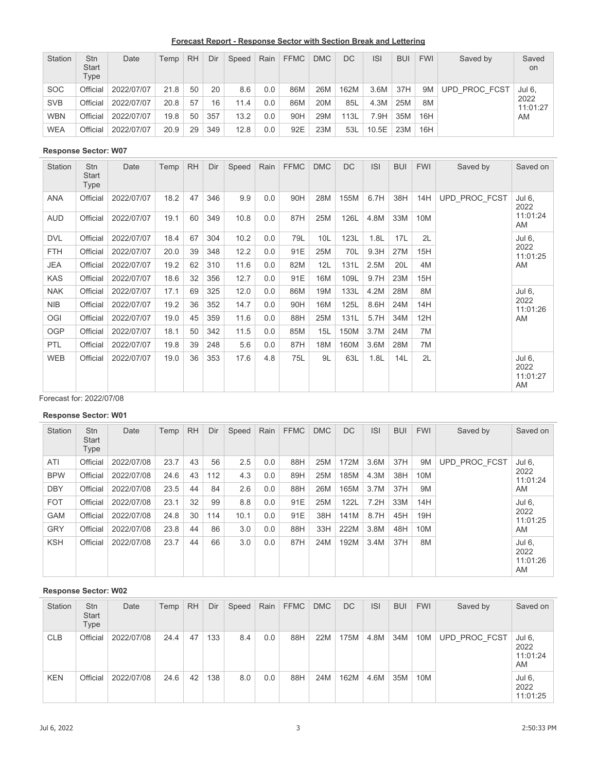**Forecast Report - Response Sector with Section Break and Lettering**

| <b>Station</b> | <b>Stn</b><br><b>Start</b><br>Type | Date       | Temp | <b>RH</b> | Dir | Speed | Rain | <b>FFMC</b> | <b>DMC</b> | DC.  | <b>ISI</b> | <b>BUI</b> | <b>FWI</b> | Saved by      | Saved<br>on      |
|----------------|------------------------------------|------------|------|-----------|-----|-------|------|-------------|------------|------|------------|------------|------------|---------------|------------------|
| <b>SOC</b>     | Official                           | 2022/07/07 | 21.8 | 50        | 20  | 8.6   | 0.0  | 86M         | 26M        | 162M | 3.6M       | 37H        | 9M         | UPD PROC FCST | Jul 6,           |
| <b>SVB</b>     | Official                           | 2022/07/07 | 20.8 | 57        | 16  | 11.4  | 0.0  | 86M         | 20M        | 85L  | 4.3M       | 25M        | 8M         |               | 2022<br>11:01:27 |
| <b>WBN</b>     | Official                           | 2022/07/07 | 19.8 | 50        | 357 | 13.2  | 0.0  | 90H         | 29M        | 113L | 7.9H       | 35M        | 16H        |               | AM               |
| <b>WEA</b>     | Official                           | 2022/07/07 | 20.9 | 29        | 349 | 12.8  | 0.0  | 92E         | 23M        | 53L  | 10.5E      | 23M        | 16H        |               |                  |

| Station    | <b>Stn</b><br><b>Start</b><br><b>Type</b> | Date       | Temp | <b>RH</b> | Dir | Speed | Rain | <b>FFMC</b> | <b>DMC</b> | <b>DC</b> | <b>ISI</b> | <b>BUI</b> | <b>FWI</b> | Saved by      | Saved on                         |
|------------|-------------------------------------------|------------|------|-----------|-----|-------|------|-------------|------------|-----------|------------|------------|------------|---------------|----------------------------------|
| <b>ANA</b> | Official                                  | 2022/07/07 | 18.2 | 47        | 346 | 9.9   | 0.0  | 90H         | 28M        | 155M      | 6.7H       | 38H        | 14H        | UPD PROC FCST | Jul 6,<br>2022                   |
| AUD        | Official                                  | 2022/07/07 | 19.1 | 60        | 349 | 10.8  | 0.0  | 87H         | 25M        | 126L      | 4.8M       | 33M        | 10M        |               | 11:01:24<br>AM                   |
| <b>DVL</b> | Official                                  | 2022/07/07 | 18.4 | 67        | 304 | 10.2  | 0.0  | 79L         | 10L        | 123L      | 1.8L       | 17L        | 2L         |               | Jul 6,                           |
| <b>FTH</b> | Official                                  | 2022/07/07 | 20.0 | 39        | 348 | 12.2  | 0.0  | 91E         | 25M        | 70L       | 9.3H       | 27M        | 15H        |               | 2022<br>11:01:25                 |
| <b>JEA</b> | Official                                  | 2022/07/07 | 19.2 | 62        | 310 | 11.6  | 0.0  | 82M         | 12L        | 131L      | 2.5M       | 20L        | 4M         |               | AM                               |
| <b>KAS</b> | Official                                  | 2022/07/07 | 18.6 | 32        | 356 | 12.7  | 0.0  | 91E         | 16M        | 109L      | 9.7H       | 23M        | 15H        |               |                                  |
| <b>NAK</b> | Official                                  | 2022/07/07 | 17.1 | 69        | 325 | 12.0  | 0.0  | 86M         | 19M        | 133L      | 4.2M       | 28M        | 8M         |               | Jul 6,                           |
| <b>NIB</b> | Official                                  | 2022/07/07 | 19.2 | 36        | 352 | 14.7  | 0.0  | 90H         | 16M        | 125L      | 8.6H       | 24M        | 14H        |               | 2022<br>11:01:26                 |
| OGI        | Official                                  | 2022/07/07 | 19.0 | 45        | 359 | 11.6  | 0.0  | 88H         | 25M        | 131L      | 5.7H       | 34M        | 12H        |               | AM                               |
| <b>OGP</b> | Official                                  | 2022/07/07 | 18.1 | 50        | 342 | 11.5  | 0.0  | 85M         | 15L        | 150M      | 3.7M       | 24M        | 7M         |               |                                  |
| <b>PTL</b> | Official                                  | 2022/07/07 | 19.8 | 39        | 248 | 5.6   | 0.0  | 87H         | 18M        | 160M      | 3.6M       | 28M        | 7M         |               |                                  |
| <b>WEB</b> | Official                                  | 2022/07/07 | 19.0 | 36        | 353 | 17.6  | 4.8  | 75L         | 9L         | 63L       | 1.8L       | 14L        | 2L         |               | Jul 6,<br>2022<br>11:01:27<br>AM |

Forecast for: 2022/07/08

### **Response Sector: W01**

| <b>Station</b> | <b>Stn</b><br><b>Start</b><br>Type | Date       | Temp | <b>RH</b> | Dir | Speed | Rain | <b>FFMC</b> | <b>DMC</b> | <b>DC</b> | <b>ISI</b> | <b>BUI</b> | <b>FWI</b> | Saved by      | Saved on                         |
|----------------|------------------------------------|------------|------|-----------|-----|-------|------|-------------|------------|-----------|------------|------------|------------|---------------|----------------------------------|
| ATI            | Official                           | 2022/07/08 | 23.7 | 43        | 56  | 2.5   | 0.0  | 88H         | 25M        | 172M      | 3.6M       | 37H        | 9M         | UPD PROC FCST | Jul 6,                           |
| <b>BPW</b>     | Official                           | 2022/07/08 | 24.6 | 43        | 112 | 4.3   | 0.0  | 89H         | 25M        | 185M      | 4.3M       | 38H        | 10M        |               | 2022<br>11:01:24                 |
| <b>DBY</b>     | Official                           | 2022/07/08 | 23.5 | 44        | 84  | 2.6   | 0.0  | 88H         | 26M        | 165M      | 3.7M       | 37H        | 9M         |               | AM                               |
| <b>FOT</b>     | Official                           | 2022/07/08 | 23.1 | 32        | 99  | 8.8   | 0.0  | 91E         | 25M        | 122L      | 7.2H       | 33M        | 14H        |               | Jul 6,                           |
| <b>GAM</b>     | Official                           | 2022/07/08 | 24.8 | 30        | 114 | 10.1  | 0.0  | 91E         | 38H        | 141M      | 8.7H       | 45H        | 19H        |               | 2022<br>11:01:25                 |
| <b>GRY</b>     | Official                           | 2022/07/08 | 23.8 | 44        | 86  | 3.0   | 0.0  | 88H         | 33H        | 222M      | 3.8M       | 48H        | 10M        |               | AM                               |
| <b>KSH</b>     | Official                           | 2022/07/08 | 23.7 | 44        | 66  | 3.0   | 0.0  | 87H         | 24M        | 192M      | 3.4M       | 37H        | 8M         |               | Jul 6.<br>2022<br>11:01:26<br>AM |

| Station    | <b>Stn</b><br><b>Start</b><br>Type | Date       | Temp | <b>RH</b> | Dir | Speed | Rain | <b>FFMC</b> | <b>DMC</b> | <b>DC</b> | <b>ISI</b> | <b>BUI</b> | <b>FWI</b> | Saved by      | Saved on                         |
|------------|------------------------------------|------------|------|-----------|-----|-------|------|-------------|------------|-----------|------------|------------|------------|---------------|----------------------------------|
| <b>CLB</b> | Official                           | 2022/07/08 | 24.4 | 47        | 133 | 8.4   | 0.0  | 88H         | 22M        | 175M      | 4.8M       | 34M        | 10M        | UPD PROC FCST | Jul 6,<br>2022<br>11:01:24<br>AM |
| <b>KEN</b> | Official                           | 2022/07/08 | 24.6 | 42        | 138 | 8.0   | 0.0  | 88H         | 24M        | 162M      | 4.6M       | 35M        | 10M        |               | Jul 6,<br>2022<br>11:01:25       |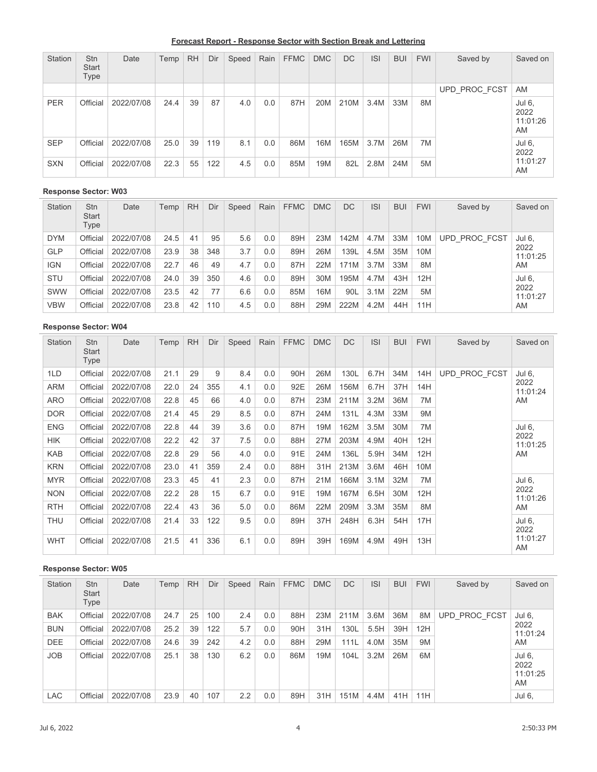**Forecast Report - Response Sector with Section Break and Lettering**

| Station    | <b>Stn</b><br><b>Start</b><br>Type | Date       | Temp | <b>RH</b> | Dir | Speed | Rain | <b>FFMC</b> | <b>DMC</b> | <b>DC</b> | S    | <b>BUI</b> | <b>FWI</b> | Saved by      | Saved on                         |
|------------|------------------------------------|------------|------|-----------|-----|-------|------|-------------|------------|-----------|------|------------|------------|---------------|----------------------------------|
|            |                                    |            |      |           |     |       |      |             |            |           |      |            |            | UPD PROC FCST | AM                               |
| <b>PER</b> | Official                           | 2022/07/08 | 24.4 | 39        | 87  | 4.0   | 0.0  | 87H         | 20M        | 210M      | 3.4M | 33M        | 8M         |               | Jul 6,<br>2022<br>11:01:26<br>AM |
| <b>SEP</b> | Official                           | 2022/07/08 | 25.0 | 39        | 119 | 8.1   | 0.0  | 86M         | 16M        | 165M      | 3.7M | 26M        | 7M         |               | Jul 6,<br>2022                   |
| <b>SXN</b> | Official                           | 2022/07/08 | 22.3 | 55        | 122 | 4.5   | 0.0  | 85M         | 19M        | 82L       | 2.8M | 24M        | 5M         |               | 11:01:27<br>AM                   |

| Station    | <b>Stn</b><br><b>Start</b><br>Type | Date       | Temp | <b>RH</b> | Dir | Speed | Rain | <b>FFMC</b> | <b>DMC</b> | DC   | <b>ISI</b> | <b>BUI</b> | <b>FWI</b> | Saved by      | Saved on         |
|------------|------------------------------------|------------|------|-----------|-----|-------|------|-------------|------------|------|------------|------------|------------|---------------|------------------|
| <b>DYM</b> | Official                           | 2022/07/08 | 24.5 | 41        | 95  | 5.6   | 0.0  | 89H         | 23M        | 142M | 4.7M       | 33M        | 10M        | UPD PROC FCST | Jul 6,           |
| <b>GLP</b> | Official                           | 2022/07/08 | 23.9 | 38        | 348 | 3.7   | 0.0  | 89H         | 26M        | 139L | 4.5M       | 35M        | 10M        |               | 2022<br>11:01:25 |
| <b>IGN</b> | Official                           | 2022/07/08 | 22.7 | 46        | 49  | 4.7   | 0.0  | 87H         | 22M        | 171M | 3.7M       | 33M        | 8M         |               | AM               |
| <b>STU</b> | Official                           | 2022/07/08 | 24.0 | 39        | 350 | 4.6   | 0.0  | 89H         | 30M        | 195M | 4.7M       | 43H        | 12H        |               | Jul 6,           |
| SWW        | Official                           | 2022/07/08 | 23.5 | 42        | 77  | 6.6   | 0.0  | 85M         | 16M        | 90L  | 3.1M       | 22M        | 5M         |               | 2022<br>11:01:27 |
| <b>VBW</b> | Official                           | 2022/07/08 | 23.8 | 42        | 110 | 4.5   | 0.0  | 88H         | 29M        | 222M | 4.2M       | 44H        | 11H        |               | AM               |

### **Response Sector: W04**

| Station    | <b>Stn</b><br>Start<br>Type | Date       | Temp | <b>RH</b> | Dir | Speed | Rain | <b>FFMC</b> | <b>DMC</b> | <b>DC</b> | <b>ISI</b> | <b>BUI</b> | <b>FWI</b> | Saved by      | Saved on         |
|------------|-----------------------------|------------|------|-----------|-----|-------|------|-------------|------------|-----------|------------|------------|------------|---------------|------------------|
| 1LD        | Official                    | 2022/07/08 | 21.1 | 29        | 9   | 8.4   | 0.0  | 90H         | 26M        | 130L      | 6.7H       | 34M        | 14H        | UPD PROC FCST | Jul 6,           |
| <b>ARM</b> | Official                    | 2022/07/08 | 22.0 | 24        | 355 | 4.1   | 0.0  | 92E         | 26M        | 156M      | 6.7H       | 37H        | 14H        |               | 2022<br>11:01:24 |
| <b>ARO</b> | Official                    | 2022/07/08 | 22.8 | 45        | 66  | 4.0   | 0.0  | 87H         | 23M        | 211M      | 3.2M       | 36M        | 7M         |               | AM               |
| <b>DOR</b> | Official                    | 2022/07/08 | 21.4 | 45        | 29  | 8.5   | 0.0  | 87H         | 24M        | 131L      | 4.3M       | 33M        | 9M         |               |                  |
| <b>ENG</b> | Official                    | 2022/07/08 | 22.8 | 44        | 39  | 3.6   | 0.0  | 87H         | 19M        | 162M      | 3.5M       | 30M        | 7M         |               | Jul 6,           |
| <b>HIK</b> | Official                    | 2022/07/08 | 22.2 | 42        | 37  | 7.5   | 0.0  | 88H         | 27M        | 203M      | 4.9M       | 40H        | 12H        |               | 2022<br>11:01:25 |
| <b>KAB</b> | Official                    | 2022/07/08 | 22.8 | 29        | 56  | 4.0   | 0.0  | 91E         | 24M        | 136L      | 5.9H       | 34M        | 12H        |               | AM               |
| <b>KRN</b> | Official                    | 2022/07/08 | 23.0 | 41        | 359 | 2.4   | 0.0  | 88H         | 31H        | 213M      | 3.6M       | 46H        | 10M        |               |                  |
| <b>MYR</b> | Official                    | 2022/07/08 | 23.3 | 45        | 41  | 2.3   | 0.0  | 87H         | 21M        | 166M      | 3.1M       | 32M        | 7M         |               | Jul 6,           |
| <b>NON</b> | Official                    | 2022/07/08 | 22.2 | 28        | 15  | 6.7   | 0.0  | 91E         | 19M        | 167M      | 6.5H       | 30M        | 12H        |               | 2022<br>11:01:26 |
| <b>RTH</b> | Official                    | 2022/07/08 | 22.4 | 43        | 36  | 5.0   | 0.0  | 86M         | 22M        | 209M      | 3.3M       | 35M        | 8M         |               | AM               |
| <b>THU</b> | Official                    | 2022/07/08 | 21.4 | 33        | 122 | 9.5   | 0.0  | 89H         | 37H        | 248H      | 6.3H       | 54H        | 17H        |               | Jul 6.<br>2022   |
| <b>WHT</b> | Official                    | 2022/07/08 | 21.5 | 41        | 336 | 6.1   | 0.0  | 89H         | 39H        | 169M      | 4.9M       | 49H        | 13H        |               | 11:01:27<br>AM   |

| Station    | <b>Stn</b><br><b>Start</b><br>Type | Date       | Temp | <b>RH</b> | Dir | Speed | Rain | <b>FFMC</b> | <b>DMC</b> | <b>DC</b> | <b>ISI</b> | <b>BUI</b> | <b>FWI</b> | Saved by      | Saved on                         |
|------------|------------------------------------|------------|------|-----------|-----|-------|------|-------------|------------|-----------|------------|------------|------------|---------------|----------------------------------|
| <b>BAK</b> | Official                           | 2022/07/08 | 24.7 | 25        | 100 | 2.4   | 0.0  | 88H         | 23M        | 211M      | 3.6M       | 36M        | 8M         | UPD PROC FCST | Jul 6.                           |
| <b>BUN</b> | Official                           | 2022/07/08 | 25.2 | 39        | 122 | 5.7   | 0.0  | 90H         | 31H        | 130L      | 5.5H       | 39H        | 12H        |               | 2022<br>11:01:24                 |
| DEE        | Official                           | 2022/07/08 | 24.6 | 39        | 242 | 4.2   | 0.0  | 88H         | 29M        | 111L      | 4.0M       | 35M        | 9M         |               | AM                               |
| <b>JOB</b> | Official                           | 2022/07/08 | 25.1 | 38        | 130 | 6.2   | 0.0  | 86M         | 19M        | 104L      | 3.2M       | 26M        | 6M         |               | Jul 6.<br>2022<br>11:01:25<br>AM |
| LAC        | Official                           | 2022/07/08 | 23.9 | 40        | 107 | 2.2   | 0.0  | 89H         | 31H        | 151M      | 4.4M       | 41H        | 11H        |               | Jul 6.                           |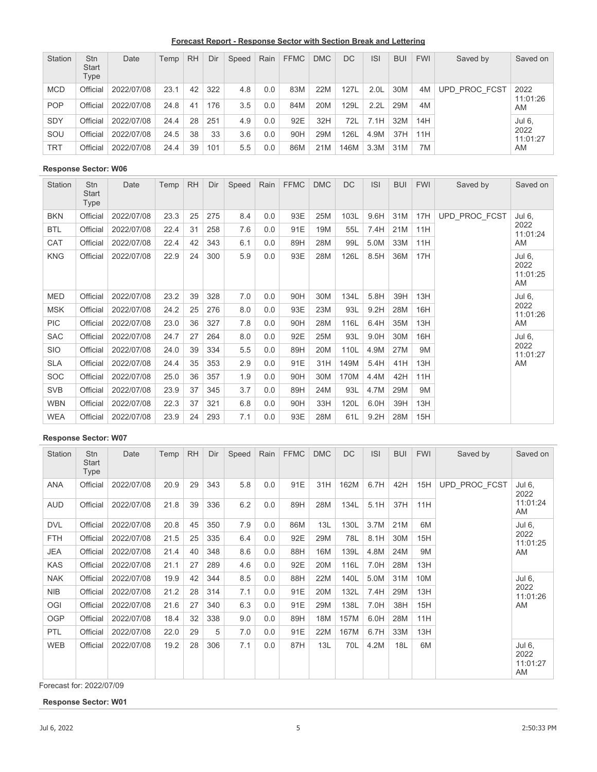**Forecast Report - Response Sector with Section Break and Lettering**

| Station    | <b>Stn</b><br><b>Start</b><br>Type | Date       | Temp | <b>RH</b> | Dir | Speed | Rain | <b>FFMC</b> | <b>DMC</b> | DC   | <b>ISI</b>       | <b>BUI</b> | <b>FWI</b> | Saved by      | Saved on         |
|------------|------------------------------------|------------|------|-----------|-----|-------|------|-------------|------------|------|------------------|------------|------------|---------------|------------------|
| <b>MCD</b> | Official                           | 2022/07/08 | 23.1 | 42        | 322 | 4.8   | 0.0  | 83M         | 22M        | 127L | 2.0 <sub>L</sub> | 30M        | 4M         | UPD PROC FCST | 2022             |
| <b>POP</b> | Official                           | 2022/07/08 | 24.8 | 41        | 176 | 3.5   | 0.0  | 84M         | 20M        | 129L | 2.2L             | 29M        | 4M         |               | 11:01:26<br>AM   |
| <b>SDY</b> | Official                           | 2022/07/08 | 24.4 | 28        | 251 | 4.9   | 0.0  | 92E         | 32H        | 72L  | 7.1H             | 32M        | 14H        |               | Jul 6.           |
| SOU        | Official                           | 2022/07/08 | 24.5 | 38        | 33  | 3.6   | 0.0  | 90H         | 29M        | 126L | 4.9M             | 37H        | 11H        |               | 2022<br>11:01:27 |
| <b>TRT</b> | Official                           | 2022/07/08 | 24.4 | 39        | 101 | 5.5   | 0.0  | 86M         | 21M        | 146M | 3.3M             | 31M        | 7M         |               | AM               |

| Station    | <b>Stn</b><br>Start<br>Type | Date       | Temp | <b>RH</b> | Dir | Speed | Rain | <b>FFMC</b> | <b>DMC</b> | <b>DC</b> | <b>ISI</b> | <b>BUI</b> | <b>FWI</b> | Saved by      | Saved on                         |
|------------|-----------------------------|------------|------|-----------|-----|-------|------|-------------|------------|-----------|------------|------------|------------|---------------|----------------------------------|
| <b>BKN</b> | Official                    | 2022/07/08 | 23.3 | 25        | 275 | 8.4   | 0.0  | 93E         | 25M        | 103L      | 9.6H       | 31M        | 17H        | UPD_PROC_FCST | Jul 6,                           |
| <b>BTL</b> | Official                    | 2022/07/08 | 22.4 | 31        | 258 | 7.6   | 0.0  | 91E         | 19M        | 55L       | 7.4H       | 21M        | 11H        |               | 2022<br>11:01:24                 |
| CAT        | Official                    | 2022/07/08 | 22.4 | 42        | 343 | 6.1   | 0.0  | 89H         | 28M        | 99L       | 5.0M       | 33M        | 11H        |               | AM                               |
| <b>KNG</b> | Official                    | 2022/07/08 | 22.9 | 24        | 300 | 5.9   | 0.0  | 93E         | 28M        | 126L      | 8.5H       | 36M        | 17H        |               | Jul 6,<br>2022<br>11:01:25<br>AM |
| <b>MED</b> | Official                    | 2022/07/08 | 23.2 | 39        | 328 | 7.0   | 0.0  | 90H         | 30M        | 134L      | 5.8H       | 39H        | 13H        |               | Jul 6,                           |
| <b>MSK</b> | Official                    | 2022/07/08 | 24.2 | 25        | 276 | 8.0   | 0.0  | 93E         | 23M        | 93L       | 9.2H       | 28M        | 16H        |               | 2022<br>11:01:26                 |
| <b>PIC</b> | Official                    | 2022/07/08 | 23.0 | 36        | 327 | 7.8   | 0.0  | 90H         | 28M        | 116L      | 6.4H       | 35M        | 13H        |               | AM                               |
| <b>SAC</b> | Official                    | 2022/07/08 | 24.7 | 27        | 264 | 8.0   | 0.0  | 92E         | 25M        | 93L       | 9.0H       | 30M        | 16H        |               | Jul 6,                           |
| <b>SIO</b> | Official                    | 2022/07/08 | 24.0 | 39        | 334 | 5.5   | 0.0  | 89H         | 20M        | 110L      | 4.9M       | 27M        | 9M         |               | 2022<br>11:01:27                 |
| <b>SLA</b> | Official                    | 2022/07/08 | 24.4 | 35        | 353 | 2.9   | 0.0  | 91E         | 31H        | 149M      | 5.4H       | 41H        | 13H        |               | AM                               |
| <b>SOC</b> | Official                    | 2022/07/08 | 25.0 | 36        | 357 | 1.9   | 0.0  | 90H         | 30M        | 170M      | 4.4M       | 42H        | 11H        |               |                                  |
| <b>SVB</b> | Official                    | 2022/07/08 | 23.9 | 37        | 345 | 3.7   | 0.0  | 89H         | 24M        | 93L       | 4.7M       | 29M        | 9M         |               |                                  |
| <b>WBN</b> | Official                    | 2022/07/08 | 22.3 | 37        | 321 | 6.8   | 0.0  | 90H         | 33H        | 120L      | 6.0H       | 39H        | 13H        |               |                                  |
| <b>WEA</b> | Official                    | 2022/07/08 | 23.9 | 24        | 293 | 7.1   | 0.0  | 93E         | 28M        | 61L       | 9.2H       | 28M        | 15H        |               |                                  |

#### **Response Sector: W07**

| Station    | Stn<br><b>Start</b><br>Type | Date       | Temp | <b>RH</b> | Dir | Speed | Rain | <b>FFMC</b> | <b>DMC</b> | <b>DC</b> | <b>ISI</b> | <b>BUI</b> | <b>FWI</b> | Saved by      | Saved on                         |
|------------|-----------------------------|------------|------|-----------|-----|-------|------|-------------|------------|-----------|------------|------------|------------|---------------|----------------------------------|
| <b>ANA</b> | Official                    | 2022/07/08 | 20.9 | 29        | 343 | 5.8   | 0.0  | 91E         | 31H        | 162M      | 6.7H       | 42H        | 15H        | UPD PROC FCST | Jul 6,<br>2022                   |
| <b>AUD</b> | Official                    | 2022/07/08 | 21.8 | 39        | 336 | 6.2   | 0.0  | 89H         | 28M        | 134L      | 5.1H       | 37H        | 11H        |               | 11:01:24<br>AM                   |
| <b>DVL</b> | Official                    | 2022/07/08 | 20.8 | 45        | 350 | 7.9   | 0.0  | 86M         | 13L        | 130L      | 3.7M       | 21M        | 6M         |               | Jul 6,                           |
| <b>FTH</b> | Official                    | 2022/07/08 | 21.5 | 25        | 335 | 6.4   | 0.0  | 92E         | 29M        | 78L       | 8.1H       | 30M        | 15H        |               | 2022<br>11:01:25                 |
| <b>JEA</b> | Official                    | 2022/07/08 | 21.4 | 40        | 348 | 8.6   | 0.0  | 88H         | 16M        | 139L      | 4.8M       | 24M        | 9M         |               | AM                               |
| <b>KAS</b> | Official                    | 2022/07/08 | 21.1 | 27        | 289 | 4.6   | 0.0  | 92E         | 20M        | 116L      | 7.0H       | 28M        | 13H        |               |                                  |
| <b>NAK</b> | Official                    | 2022/07/08 | 19.9 | 42        | 344 | 8.5   | 0.0  | 88H         | 22M        | 140L      | 5.0M       | 31M        | 10M        |               | Jul 6,                           |
| <b>NIB</b> | Official                    | 2022/07/08 | 21.2 | 28        | 314 | 7.1   | 0.0  | 91E         | 20M        | 132L      | 7.4H       | 29M        | 13H        |               | 2022<br>11:01:26                 |
| OGI        | Official                    | 2022/07/08 | 21.6 | 27        | 340 | 6.3   | 0.0  | 91E         | 29M        | 138L      | 7.0H       | 38H        | 15H        |               | AM                               |
| <b>OGP</b> | Official                    | 2022/07/08 | 18.4 | 32        | 338 | 9.0   | 0.0  | 89H         | 18M        | 157M      | 6.0H       | 28M        | 11H        |               |                                  |
| PTL        | Official                    | 2022/07/08 | 22.0 | 29        | 5   | 7.0   | 0.0  | 91E         | 22M        | 167M      | 6.7H       | 33M        | 13H        |               |                                  |
| <b>WEB</b> | Official                    | 2022/07/08 | 19.2 | 28        | 306 | 7.1   | 0.0  | 87H         | 13L        | 70L       | 4.2M       | 18L        | 6M         |               | Jul 6,<br>2022<br>11:01:27<br>AM |

Forecast for: 2022/07/09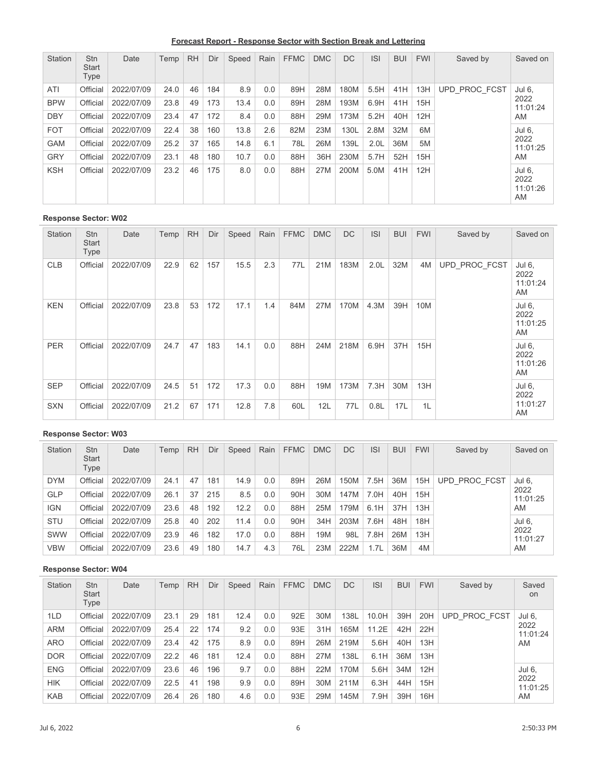**Forecast Report - Response Sector with Section Break and Lettering**

| Station    | <b>Stn</b><br><b>Start</b><br>Type | Date       | Temp | <b>RH</b> | Dir | Speed | Rain | <b>FFMC</b> | <b>DMC</b> | <b>DC</b> | <b>ISI</b>       | <b>BUI</b> | <b>FWI</b> | Saved by      | Saved on                         |
|------------|------------------------------------|------------|------|-----------|-----|-------|------|-------------|------------|-----------|------------------|------------|------------|---------------|----------------------------------|
| ATI        | Official                           | 2022/07/09 | 24.0 | 46        | 184 | 8.9   | 0.0  | 89H         | 28M        | 180M      | 5.5H             | 41H        | 13H        | UPD PROC FCST | Jul 6,                           |
| <b>BPW</b> | Official                           | 2022/07/09 | 23.8 | 49        | 173 | 13.4  | 0.0  | 89H         | 28M        | 193M      | 6.9H             | 41H        | 15H        |               | 2022<br>11:01:24                 |
| <b>DBY</b> | Official                           | 2022/07/09 | 23.4 | 47        | 172 | 8.4   | 0.0  | 88H         | 29M        | 173M      | 5.2H             | 40H        | 12H        |               | AM                               |
| <b>FOT</b> | Official                           | 2022/07/09 | 22.4 | 38        | 160 | 13.8  | 2.6  | 82M         | 23M        | 130L      | 2.8M             | 32M        | 6M         |               | Jul 6.                           |
| <b>GAM</b> | Official                           | 2022/07/09 | 25.2 | 37        | 165 | 14.8  | 6.1  | 78L         | 26M        | 139L      | 2.0 <sub>L</sub> | 36M        | 5M         |               | 2022<br>11:01:25                 |
| <b>GRY</b> | Official                           | 2022/07/09 | 23.1 | 48        | 180 | 10.7  | 0.0  | 88H         | 36H        | 230M      | 5.7H             | 52H        | 15H        |               | AM                               |
| <b>KSH</b> | Official                           | 2022/07/09 | 23.2 | 46        | 175 | 8.0   | 0.0  | 88H         | 27M        | 200M      | 5.0M             | 41H        | 12H        |               | Jul 6,<br>2022<br>11:01:26<br>AM |

| <b>Station</b> | <b>Stn</b><br>Start<br><b>Type</b> | Date       | Temp | <b>RH</b> | Dir | Speed | Rain | <b>FFMC</b> | <b>DMC</b> | <b>DC</b> | <b>ISI</b>       | <b>BUI</b> | <b>FWI</b> | Saved by      | Saved on                         |
|----------------|------------------------------------|------------|------|-----------|-----|-------|------|-------------|------------|-----------|------------------|------------|------------|---------------|----------------------------------|
| <b>CLB</b>     | Official                           | 2022/07/09 | 22.9 | 62        | 157 | 15.5  | 2.3  | 77L         | 21M        | 183M      | 2.0 <sub>L</sub> | 32M        | 4M         | UPD_PROC_FCST | Jul 6,<br>2022<br>11:01:24<br>AM |
| <b>KEN</b>     | Official                           | 2022/07/09 | 23.8 | 53        | 172 | 17.1  | 1.4  | 84M         | 27M        | 170M      | 4.3M             | 39H        | 10M        |               | Jul 6,<br>2022<br>11:01:25<br>AM |
| <b>PER</b>     | Official                           | 2022/07/09 | 24.7 | 47        | 183 | 14.1  | 0.0  | 88H         | 24M        | 218M      | 6.9H             | 37H        | 15H        |               | Jul 6,<br>2022<br>11:01:26<br>AM |
| <b>SEP</b>     | Official                           | 2022/07/09 | 24.5 | 51        | 172 | 17.3  | 0.0  | 88H         | 19M        | 173M      | 7.3H             | 30M        | 13H        |               | Jul 6,<br>2022                   |
| <b>SXN</b>     | Official                           | 2022/07/09 | 21.2 | 67        | 171 | 12.8  | 7.8  | 60L         | 12L        | 77L       | 0.8L             | 17L        | 1L         |               | 11:01:27<br>AM                   |

### **Response Sector: W03**

| Station    | <b>Stn</b><br><b>Start</b><br>Type | Date       | Temp | <b>RH</b> | Dir | Speed | Rain | <b>FFMC</b> | <b>DMC</b> | <b>DC</b> | <b>ISI</b> | <b>BUI</b> | <b>FWI</b> | Saved by      | Saved on         |
|------------|------------------------------------|------------|------|-----------|-----|-------|------|-------------|------------|-----------|------------|------------|------------|---------------|------------------|
| <b>DYM</b> | Official                           | 2022/07/09 | 24.1 | 47        | 181 | 14.9  | 0.0  | 89H         | 26M        | 150M      | 7.5H       | 36M        | 15H        | UPD PROC FCST | Jul 6,           |
| <b>GLP</b> | Official                           | 2022/07/09 | 26.1 | 37        | 215 | 8.5   | 0.0  | 90H         | 30M        | 147M      | 7.0H       | 40H        | 15H        |               | 2022<br>11:01:25 |
| <b>IGN</b> | Official                           | 2022/07/09 | 23.6 | 48        | 192 | 12.2  | 0.0  | 88H         | 25M        | 179M      | 6.1H       | 37H        | 13H        |               | AM               |
| <b>STU</b> | Official                           | 2022/07/09 | 25.8 | 40        | 202 | 11.4  | 0.0  | 90H         | 34H        | 203M      | 7.6H       | 48H        | 18H        |               | Jul 6.           |
| SWW        | Official                           | 2022/07/09 | 23.9 | 46        | 182 | 17.0  | 0.0  | 88H         | 19M        | 98L       | 7.8H       | 26M        | 13H        |               | 2022<br>11:01:27 |
| <b>VBW</b> | Official                           | 2022/07/09 | 23.6 | 49        | 180 | 14.7  | 4.3  | 76L         | 23M        | 222M      | 1.7L       | 36M        | 4M         |               | AM               |

| Station    | <b>Stn</b><br><b>Start</b><br>Type | Date       | Temp | <b>RH</b> | Dir | Speed | Rain | <b>FFMC</b> | <b>DMC</b> | <b>DC</b> | <b>ISI</b> | <b>BUI</b> | <b>FWI</b> | Saved by      | Saved<br>on      |
|------------|------------------------------------|------------|------|-----------|-----|-------|------|-------------|------------|-----------|------------|------------|------------|---------------|------------------|
| 1LD        | Official                           | 2022/07/09 | 23.1 | 29        | 181 | 12.4  | 0.0  | 92E         | 30M        | 138L      | 10.0H      | 39H        | 20H        | UPD PROC FCST | Jul 6,           |
| <b>ARM</b> | Official                           | 2022/07/09 | 25.4 | 22        | 174 | 9.2   | 0.0  | 93E         | 31H        | 165M      | 11.2E      | 42H        | 22H        |               | 2022<br>11:01:24 |
| ARO        | Official                           | 2022/07/09 | 23.4 | 42        | 175 | 8.9   | 0.0  | 89H         | 26M        | 219M      | 5.6H       | 40H        | 13H        |               | AM               |
| <b>DOR</b> | Official                           | 2022/07/09 | 22.2 | 46        | 181 | 12.4  | 0.0  | 88H         | 27M        | 138L      | 6.1H       | 36M        | 13H        |               |                  |
| <b>ENG</b> | Official                           | 2022/07/09 | 23.6 | 46        | 196 | 9.7   | 0.0  | 88H         | 22M        | 170M      | 5.6H       | 34M        | 12H        |               | Jul 6,           |
| <b>HIK</b> | Official                           | 2022/07/09 | 22.5 | 41        | 198 | 9.9   | 0.0  | 89H         | 30M        | 211M      | 6.3H       | 44H        | 15H        |               | 2022<br>11:01:25 |
| <b>KAB</b> | Official                           | 2022/07/09 | 26.4 | 26        | 180 | 4.6   | 0.0  | 93E         | 29M        | 145M      | 7.9H       | 39H        | 16H        |               | AM               |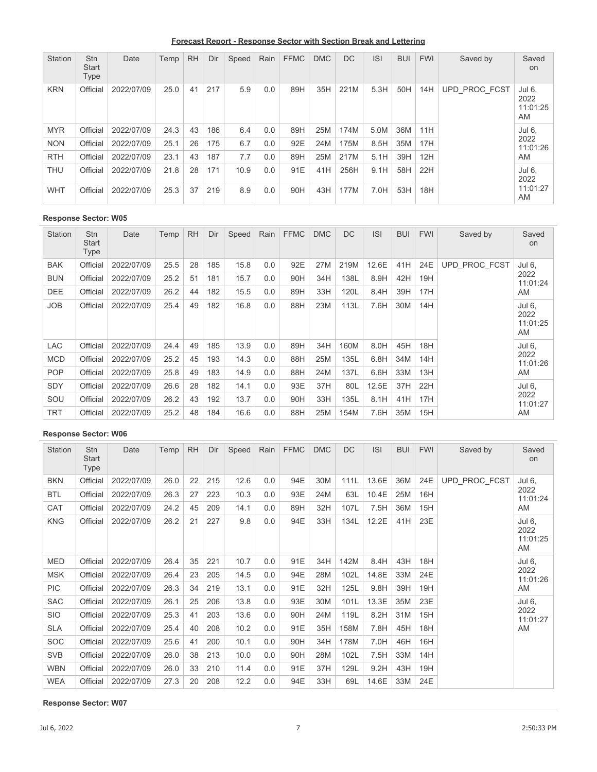**Forecast Report - Response Sector with Section Break and Lettering**

| Station    | <b>Stn</b><br><b>Start</b><br>Type | Date       | Temp | <b>RH</b> | Dir | Speed | Rain | <b>FFMC</b> | <b>DMC</b> | <b>DC</b> | <b>ISI</b> | <b>BUI</b> | <b>FWI</b> | Saved by      | Saved<br><b>on</b>               |
|------------|------------------------------------|------------|------|-----------|-----|-------|------|-------------|------------|-----------|------------|------------|------------|---------------|----------------------------------|
| <b>KRN</b> | Official                           | 2022/07/09 | 25.0 | 41        | 217 | 5.9   | 0.0  | 89H         | 35H        | 221M      | 5.3H       | 50H        | 14H        | UPD PROC FCST | Jul 6,<br>2022<br>11:01:25<br>AM |
| <b>MYR</b> | Official                           | 2022/07/09 | 24.3 | 43        | 186 | 6.4   | 0.0  | 89H         | 25M        | 174M      | 5.0M       | 36M        | 11H        |               | Jul 6,                           |
| <b>NON</b> | Official                           | 2022/07/09 | 25.1 | 26        | 175 | 6.7   | 0.0  | 92E         | 24M        | 175M      | 8.5H       | 35M        | 17H        |               | 2022<br>11:01:26                 |
| <b>RTH</b> | Official                           | 2022/07/09 | 23.1 | 43        | 187 | 7.7   | 0.0  | 89H         | 25M        | 217M      | 5.1H       | 39H        | 12H        |               | AM                               |
| <b>THU</b> | Official                           | 2022/07/09 | 21.8 | 28        | 171 | 10.9  | 0.0  | 91E         | 41H        | 256H      | 9.1H       | 58H        | 22H        |               | Jul 6,<br>2022                   |
| <b>WHT</b> | Official                           | 2022/07/09 | 25.3 | 37        | 219 | 8.9   | 0.0  | 90H         | 43H        | 177M      | 7.0H       | 53H        | 18H        |               | 11:01:27<br>AM                   |

| <b>Station</b> | <b>Stn</b><br><b>Start</b><br>Type | Date       | Temp | <b>RH</b> | Dir | Speed | Rain | <b>FFMC</b> | <b>DMC</b> | <b>DC</b> | <b>ISI</b> | <b>BUI</b> | <b>FWI</b> | Saved by             | Saved<br>on                      |
|----------------|------------------------------------|------------|------|-----------|-----|-------|------|-------------|------------|-----------|------------|------------|------------|----------------------|----------------------------------|
| <b>BAK</b>     | Official                           | 2022/07/09 | 25.5 | 28        | 185 | 15.8  | 0.0  | 92E         | 27M        | 219M      | 12.6E      | 41H        | 24E        | <b>UPD PROC FCST</b> | Jul 6,                           |
| <b>BUN</b>     | Official                           | 2022/07/09 | 25.2 | 51        | 181 | 15.7  | 0.0  | 90H         | 34H        | 138L      | 8.9H       | 42H        | 19H        |                      | 2022<br>11:01:24                 |
| <b>DEE</b>     | Official                           | 2022/07/09 | 26.2 | 44        | 182 | 15.5  | 0.0  | 89H         | 33H        | 120L      | 8.4H       | 39H        | 17H        |                      | AM                               |
| <b>JOB</b>     | Official                           | 2022/07/09 | 25.4 | 49        | 182 | 16.8  | 0.0  | 88H         | 23M        | 113L      | 7.6H       | 30M        | 14H        |                      | Jul 6,<br>2022<br>11:01:25<br>AM |
| LAC            | Official                           | 2022/07/09 | 24.4 | 49        | 185 | 13.9  | 0.0  | 89H         | 34H        | 160M      | 8.0H       | 45H        | 18H        |                      | Jul 6,                           |
| <b>MCD</b>     | Official                           | 2022/07/09 | 25.2 | 45        | 193 | 14.3  | 0.0  | 88H         | 25M        | 135L      | 6.8H       | 34M        | 14H        |                      | 2022<br>11:01:26                 |
| <b>POP</b>     | Official                           | 2022/07/09 | 25.8 | 49        | 183 | 14.9  | 0.0  | 88H         | 24M        | 137L      | 6.6H       | 33M        | 13H        |                      | AM                               |
| <b>SDY</b>     | Official                           | 2022/07/09 | 26.6 | 28        | 182 | 14.1  | 0.0  | 93E         | 37H        | 80L       | 12.5E      | 37H        | 22H        |                      | Jul 6,                           |
| SOU            | Official                           | 2022/07/09 | 26.2 | 43        | 192 | 13.7  | 0.0  | 90H         | 33H        | 135L      | 8.1H       | 41H        | 17H        |                      | 2022<br>11:01:27                 |
| <b>TRT</b>     | Official                           | 2022/07/09 | 25.2 | 48        | 184 | 16.6  | 0.0  | 88H         | 25M        | 154M      | 7.6H       | 35M        | 15H        |                      | AM                               |

### **Response Sector: W06**

| Station    | <b>Stn</b><br>Start<br>Type | Date       | Temp | <b>RH</b> | Dir | Speed | Rain | <b>FFMC</b> | <b>DMC</b> | DC   | <b>ISI</b> | <b>BUI</b> | <b>FWI</b> | Saved by      | Saved<br>on                      |
|------------|-----------------------------|------------|------|-----------|-----|-------|------|-------------|------------|------|------------|------------|------------|---------------|----------------------------------|
| <b>BKN</b> | Official                    | 2022/07/09 | 26.0 | 22        | 215 | 12.6  | 0.0  | 94E         | 30M        | 111L | 13.6E      | 36M        | 24E        | UPD PROC FCST | Jul 6,                           |
| <b>BTL</b> | Official                    | 2022/07/09 | 26.3 | 27        | 223 | 10.3  | 0.0  | 93E         | 24M        | 63L  | 10.4E      | 25M        | 16H        |               | 2022<br>11:01:24                 |
| CAT        | Official                    | 2022/07/09 | 24.2 | 45        | 209 | 14.1  | 0.0  | 89H         | 32H        | 107L | 7.5H       | 36M        | 15H        |               | AM                               |
| <b>KNG</b> | Official                    | 2022/07/09 | 26.2 | 21        | 227 | 9.8   | 0.0  | 94E         | 33H        | 134L | 12.2E      | 41H        | 23E        |               | Jul 6,<br>2022<br>11:01:25<br>AM |
| MED        | Official                    | 2022/07/09 | 26.4 | 35        | 221 | 10.7  | 0.0  | 91E         | 34H        | 142M | 8.4H       | 43H        | 18H        |               | Jul 6,                           |
| <b>MSK</b> | Official                    | 2022/07/09 | 26.4 | 23        | 205 | 14.5  | 0.0  | 94E         | 28M        | 102L | 14.8E      | 33M        | 24E        |               | 2022<br>11:01:26                 |
| <b>PIC</b> | Official                    | 2022/07/09 | 26.3 | 34        | 219 | 13.1  | 0.0  | 91E         | 32H        | 125L | 9.8H       | 39H        | 19H        |               | AM                               |
| <b>SAC</b> | Official                    | 2022/07/09 | 26.1 | 25        | 206 | 13.8  | 0.0  | 93E         | 30M        | 101L | 13.3E      | 35M        | 23E        |               | Jul 6,                           |
| <b>SIO</b> | Official                    | 2022/07/09 | 25.3 | 41        | 203 | 13.6  | 0.0  | 90H         | 24M        | 119L | 8.2H       | 31M        | 15H        |               | 2022<br>11:01:27                 |
| <b>SLA</b> | Official                    | 2022/07/09 | 25.4 | 40        | 208 | 10.2  | 0.0  | 91E         | 35H        | 158M | 7.8H       | 45H        | 18H        |               | AM                               |
| <b>SOC</b> | Official                    | 2022/07/09 | 25.6 | 41        | 200 | 10.1  | 0.0  | 90H         | 34H        | 178M | 7.0H       | 46H        | 16H        |               |                                  |
| <b>SVB</b> | Official                    | 2022/07/09 | 26.0 | 38        | 213 | 10.0  | 0.0  | 90H         | 28M        | 102L | 7.5H       | 33M        | 14H        |               |                                  |
| <b>WBN</b> | Official                    | 2022/07/09 | 26.0 | 33        | 210 | 11.4  | 0.0  | 91E         | 37H        | 129L | 9.2H       | 43H        | 19H        |               |                                  |
| <b>WEA</b> | Official                    | 2022/07/09 | 27.3 | 20        | 208 | 12.2  | 0.0  | 94E         | 33H        | 69L  | 14.6E      | 33M        | 24E        |               |                                  |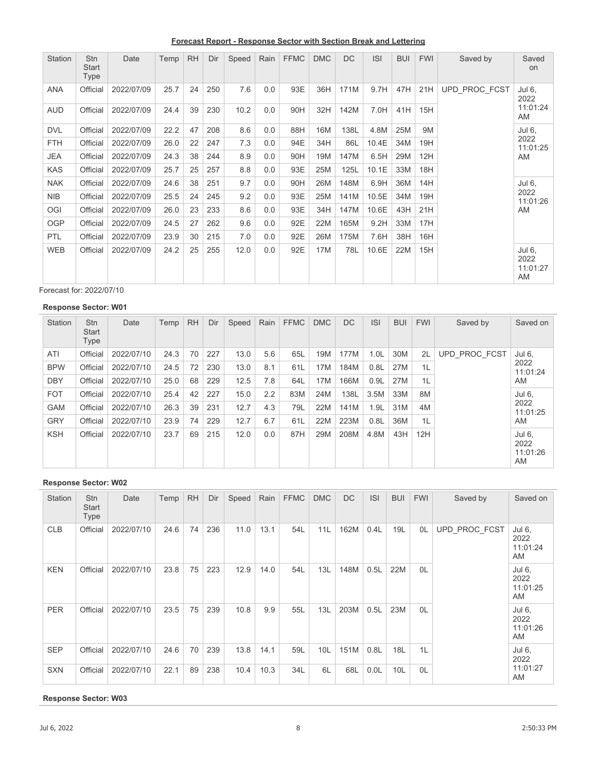**Forecast Report - Response Sector with Section Break and Lettering**

| Station    | <b>Stn</b><br><b>Start</b><br>Type | Date       | Temp | <b>RH</b> | Dir | Speed | Rain | <b>FFMC</b> | <b>DMC</b> | <b>DC</b> | S     | <b>BUI</b> | <b>FWI</b> | Saved by      | Saved<br>on                      |
|------------|------------------------------------|------------|------|-----------|-----|-------|------|-------------|------------|-----------|-------|------------|------------|---------------|----------------------------------|
| ANA        | Official                           | 2022/07/09 | 25.7 | 24        | 250 | 7.6   | 0.0  | 93E         | 36H        | 171M      | 9.7H  | 47H        | 21H        | UPD PROC FCST | Jul 6,<br>2022                   |
| <b>AUD</b> | Official                           | 2022/07/09 | 24.4 | 39        | 230 | 10.2  | 0.0  | 90H         | 32H        | 142M      | 7.0H  | 41H        | 15H        |               | 11:01:24<br>AM                   |
| <b>DVL</b> | Official                           | 2022/07/09 | 22.2 | 47        | 208 | 8.6   | 0.0  | 88H         | 16M        | 138L      | 4.8M  | 25M        | <b>9M</b>  |               | Jul 6,                           |
| <b>FTH</b> | Official                           | 2022/07/09 | 26.0 | 22        | 247 | 7.3   | 0.0  | 94E         | 34H        | 86L       | 10.4E | 34M        | 19H        |               | 2022<br>11:01:25                 |
| <b>JEA</b> | Official                           | 2022/07/09 | 24.3 | 38        | 244 | 8.9   | 0.0  | 90H         | 19M        | 147M      | 6.5H  | 29M        | 12H        |               | AM                               |
| <b>KAS</b> | Official                           | 2022/07/09 | 25.7 | 25        | 257 | 8.8   | 0.0  | 93E         | 25M        | 125L      | 10.1E | 33M        | 18H        |               |                                  |
| <b>NAK</b> | Official                           | 2022/07/09 | 24.6 | 38        | 251 | 9.7   | 0.0  | 90H         | 26M        | 148M      | 6.9H  | 36M        | 14H        |               | Jul 6,                           |
| <b>NIB</b> | Official                           | 2022/07/09 | 25.5 | 24        | 245 | 9.2   | 0.0  | 93E         | 25M        | 141M      | 10.5E | 34M        | 19H        |               | 2022<br>11:01:26                 |
| OGI        | Official                           | 2022/07/09 | 26.0 | 23        | 233 | 8.6   | 0.0  | 93E         | 34H        | 147M      | 10.6E | 43H        | 21H        |               | AM                               |
| <b>OGP</b> | Official                           | 2022/07/09 | 24.5 | 27        | 262 | 9.6   | 0.0  | 92E         | 22M        | 165M      | 9.2H  | 33M        | 17H        |               |                                  |
| <b>PTL</b> | Official                           | 2022/07/09 | 23.9 | 30        | 215 | 7.0   | 0.0  | 92E         | 26M        | 175M      | 7.6H  | 38H        | 16H        |               |                                  |
| <b>WEB</b> | Official                           | 2022/07/09 | 24.2 | 25        | 255 | 12.0  | 0.0  | 92E         | 17M        | 78L       | 10.6E | 22M        | 15H        |               | Jul 6,<br>2022<br>11:01:27<br>AM |

Forecast for: 2022/07/10

### **Response Sector: W01**

| <b>Station</b> | <b>Stn</b><br><b>Start</b><br>Type | Date       | Temp | <b>RH</b> | Dir | Speed | Rain | <b>FFMC</b> | <b>DMC</b> | <b>DC</b> | <b>ISI</b>       | <b>BUI</b> | <b>FWI</b> | Saved by      | Saved on                         |
|----------------|------------------------------------|------------|------|-----------|-----|-------|------|-------------|------------|-----------|------------------|------------|------------|---------------|----------------------------------|
| ATI            | Official                           | 2022/07/10 | 24.3 | 70        | 227 | 13.0  | 5.6  | 65L         | 19M        | 177M      | 1.0 <sub>L</sub> | 30M        | 2L         | UPD PROC FCST | Jul 6,                           |
| <b>BPW</b>     | Official                           | 2022/07/10 | 24.5 | 72        | 230 | 13.0  | 8.1  | 61L         | 17M        | 184M      | 0.8L             | 27M        | 1L         |               | 2022<br>11:01:24                 |
| <b>DBY</b>     | Official                           | 2022/07/10 | 25.0 | 68        | 229 | 12.5  | 7.8  | 64L         | 17M        | 166M      | 0.9L             | 27M        | 1L         |               | AM                               |
| <b>FOT</b>     | Official                           | 2022/07/10 | 25.4 | 42        | 227 | 15.0  | 2.2  | 83M         | 24M        | 138L      | 3.5M             | 33M        | 8M         |               | Jul 6,                           |
| <b>GAM</b>     | Official                           | 2022/07/10 | 26.3 | 39        | 231 | 12.7  | 4.3  | 79L         | 22M        | 141M      | 1.9L             | 31M        | 4M         |               | 2022<br>11:01:25                 |
| <b>GRY</b>     | Official                           | 2022/07/10 | 23.9 | 74        | 229 | 12.7  | 6.7  | 61L         | 22M        | 223M      | 0.8L             | 36M        | 1L         |               | AM                               |
| <b>KSH</b>     | Official                           | 2022/07/10 | 23.7 | 69        | 215 | 12.0  | 0.0  | 87H         | 29M        | 208M      | 4.8M             | 43H        | 12H        |               | Jul 6,<br>2022<br>11:01:26<br>AM |

# **Response Sector: W02**

| <b>Station</b> | Stn<br>Start<br>Type | Date       | Temp | <b>RH</b> | Dir | Speed | Rain | <b>FFMC</b> | <b>DMC</b> | DC   | <b>ISI</b> | <b>BUI</b> | <b>FWI</b> | Saved by      | Saved on                         |
|----------------|----------------------|------------|------|-----------|-----|-------|------|-------------|------------|------|------------|------------|------------|---------------|----------------------------------|
| <b>CLB</b>     | Official             | 2022/07/10 | 24.6 | 74        | 236 | 11.0  | 13.1 | 54L         | 11L        | 162M | 0.4L       | 19L        | 0L         | UPD PROC FCST | Jul 6,<br>2022<br>11:01:24<br>AM |
| <b>KEN</b>     | Official             | 2022/07/10 | 23.8 | 75        | 223 | 12.9  | 14.0 | 54L         | 13L        | 148M | 0.5L       | 22M        | OL         |               | Jul 6,<br>2022<br>11:01:25<br>AM |
| <b>PER</b>     | Official             | 2022/07/10 | 23.5 | 75        | 239 | 10.8  | 9.9  | 55L         | 13L        | 203M | 0.5L       | 23M        | 0L         |               | Jul 6,<br>2022<br>11:01:26<br>AM |
| <b>SEP</b>     | Official             | 2022/07/10 | 24.6 | 70        | 239 | 13.8  | 14.1 | 59L         | 10L        | 151M | 0.8L       | 18L        | 1L         |               | Jul 6,<br>2022                   |
| <b>SXN</b>     | Official             | 2022/07/10 | 22.1 | 89        | 238 | 10.4  | 10.3 | 34L         | 6L         | 68L  | 0.0L       | 10L        | 0L         |               | 11:01:27<br>AM                   |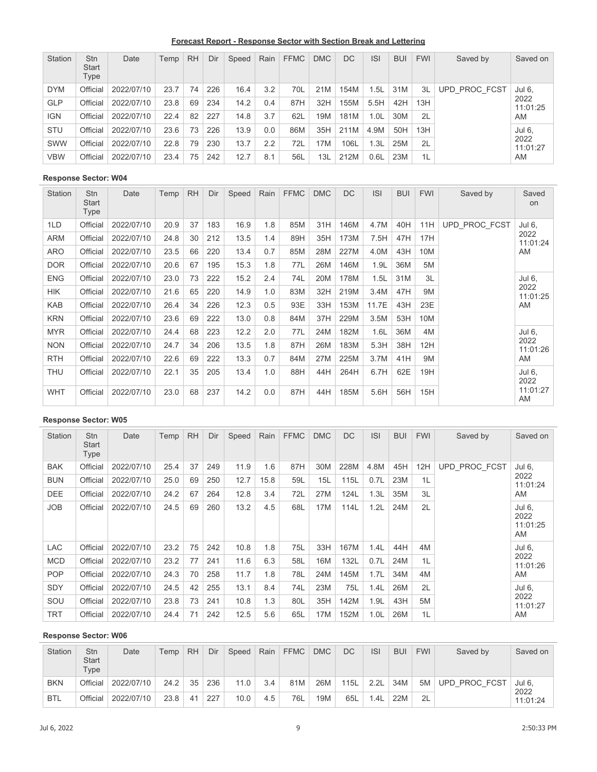**Forecast Report - Response Sector with Section Break and Lettering**

| Station    | <b>Stn</b><br><b>Start</b><br>Type | Date       | Temp | <b>RH</b> | Dir | Speed | Rain | <b>FFMC</b> | <b>DMC</b> | DC   | <b>ISI</b> | <b>BUI</b> | <b>FWI</b> | Saved by      | Saved on         |
|------------|------------------------------------|------------|------|-----------|-----|-------|------|-------------|------------|------|------------|------------|------------|---------------|------------------|
| <b>DYM</b> | Official                           | 2022/07/10 | 23.7 | 74        | 226 | 16.4  | 3.2  | 70L         | 21M        | 154M | 1.5L       | 31M        | 3L         | UPD PROC FCST | Jul 6,           |
| <b>GLP</b> | Official                           | 2022/07/10 | 23.8 | 69        | 234 | 14.2  | 0.4  | 87H         | 32H        | 155M | 5.5H       | 42H        | 13H        |               | 2022<br>11:01:25 |
| <b>IGN</b> | Official                           | 2022/07/10 | 22.4 | 82        | 227 | 14.8  | 3.7  | 62L         | 19M        | 181M | 1.0L       | 30M        | 2L         |               | AM               |
| <b>STU</b> | Official                           | 2022/07/10 | 23.6 | 73        | 226 | 13.9  | 0.0  | 86M         | 35H        | 211M | 4.9M       | 50H        | 13H        |               | Jul 6,           |
| SWW        | Official                           | 2022/07/10 | 22.8 | 79        | 230 | 13.7  | 2.2  | 72L         | 17M        | 106L | 1.3L       | 25M        | 2L         |               | 2022<br>11:01:27 |
| <b>VBW</b> | Official                           | 2022/07/10 | 23.4 | 75        | 242 | 12.7  | 8.1  | 56L         | 13L        | 212M | 0.6L       | 23M        | 1L         |               | AM               |

| <b>Station</b> | <b>Stn</b><br><b>Start</b><br>Type | Date       | Temp | <b>RH</b> | Dir | Speed | Rain | <b>FFMC</b> | <b>DMC</b> | <b>DC</b> | <b>ISI</b> | <b>BUI</b> | <b>FWI</b> | Saved by      | Saved<br><b>on</b> |
|----------------|------------------------------------|------------|------|-----------|-----|-------|------|-------------|------------|-----------|------------|------------|------------|---------------|--------------------|
| 1LD            | Official                           | 2022/07/10 | 20.9 | 37        | 183 | 16.9  | 1.8  | 85M         | 31H        | 146M      | 4.7M       | 40H        | 11H        | UPD PROC FCST | Jul 6,             |
| <b>ARM</b>     | Official                           | 2022/07/10 | 24.8 | 30        | 212 | 13.5  | 1.4  | 89H         | 35H        | 173M      | 7.5H       | 47H        | 17H        |               | 2022<br>11:01:24   |
| <b>ARO</b>     | Official                           | 2022/07/10 | 23.5 | 66        | 220 | 13.4  | 0.7  | 85M         | 28M        | 227M      | 4.0M       | 43H        | 10M        |               | AM                 |
| <b>DOR</b>     | Official                           | 2022/07/10 | 20.6 | 67        | 195 | 15.3  | 1.8  | 77L         | 26M        | 146M      | 1.9L       | 36M        | 5M         |               |                    |
| <b>ENG</b>     | Official                           | 2022/07/10 | 23.0 | 73        | 222 | 15.2  | 2.4  | 74L         | 20M        | 178M      | 1.5L       | 31M        | 3L         |               | Jul 6,             |
| <b>HIK</b>     | Official                           | 2022/07/10 | 21.6 | 65        | 220 | 14.9  | 1.0  | 83M         | 32H        | 219M      | 3.4M       | 47H        | 9M         |               | 2022<br>11:01:25   |
| <b>KAB</b>     | Official                           | 2022/07/10 | 26.4 | 34        | 226 | 12.3  | 0.5  | 93E         | 33H        | 153M      | 11.7E      | 43H        | 23E        |               | AM                 |
| <b>KRN</b>     | Official                           | 2022/07/10 | 23.6 | 69        | 222 | 13.0  | 0.8  | 84M         | 37H        | 229M      | 3.5M       | 53H        | 10M        |               |                    |
| <b>MYR</b>     | Official                           | 2022/07/10 | 24.4 | 68        | 223 | 12.2  | 2.0  | 77L         | 24M        | 182M      | 1.6L       | 36M        | 4M         |               | Jul 6,             |
| <b>NON</b>     | Official                           | 2022/07/10 | 24.7 | 34        | 206 | 13.5  | 1.8  | 87H         | 26M        | 183M      | 5.3H       | 38H        | 12H        |               | 2022<br>11:01:26   |
| <b>RTH</b>     | Official                           | 2022/07/10 | 22.6 | 69        | 222 | 13.3  | 0.7  | 84M         | 27M        | 225M      | 3.7M       | 41H        | 9M         |               | AM                 |
| <b>THU</b>     | Official                           | 2022/07/10 | 22.1 | 35        | 205 | 13.4  | 1.0  | 88H         | 44H        | 264H      | 6.7H       | 62E        | 19H        |               | Jul 6,<br>2022     |
| <b>WHT</b>     | Official                           | 2022/07/10 | 23.0 | 68        | 237 | 14.2  | 0.0  | 87H         | 44H        | 185M      | 5.6H       | 56H        | 15H        |               | 11:01:27<br>AM     |

# **Response Sector: W05**

| <b>Station</b> | <b>Stn</b><br><b>Start</b><br>Type | Date       | Temp | <b>RH</b> | Dir | Speed | Rain | <b>FFMC</b> | <b>DMC</b> | <b>DC</b> | <b>ISI</b>       | <b>BUI</b> | <b>FWI</b> | Saved by      | Saved on                         |
|----------------|------------------------------------|------------|------|-----------|-----|-------|------|-------------|------------|-----------|------------------|------------|------------|---------------|----------------------------------|
| <b>BAK</b>     | Official                           | 2022/07/10 | 25.4 | 37        | 249 | 11.9  | 1.6  | 87H         | 30M        | 228M      | 4.8M             | 45H        | 12H        | UPD PROC FCST | Jul 6,                           |
| <b>BUN</b>     | Official                           | 2022/07/10 | 25.0 | 69        | 250 | 12.7  | 15.8 | 59L         | 15L        | 115L      | 0.7L             | 23M        | 1L         |               | 2022<br>11:01:24                 |
| <b>DEE</b>     | Official                           | 2022/07/10 | 24.2 | 67        | 264 | 12.8  | 3.4  | 72L         | 27M        | 124L      | 1.3L             | 35M        | 3L         |               | AM                               |
| <b>JOB</b>     | Official                           | 2022/07/10 | 24.5 | 69        | 260 | 13.2  | 4.5  | 68L         | 17M        | 114L      | 1.2L             | 24M        | 2L         |               | Jul 6.<br>2022<br>11:01:25<br>AM |
| LAC            | Official                           | 2022/07/10 | 23.2 | 75        | 242 | 10.8  | 1.8  | 75L         | 33H        | 167M      | 1.4L             | 44H        | 4M         |               | Jul 6,                           |
| <b>MCD</b>     | Official                           | 2022/07/10 | 23.2 | 77        | 241 | 11.6  | 6.3  | 58L         | 16M        | 132L      | 0.7L             | 24M        | 1L         |               | 2022<br>11:01:26                 |
| <b>POP</b>     | Official                           | 2022/07/10 | 24.3 | 70        | 258 | 11.7  | 1.8  | 78L         | 24M        | 145M      | 1.7L             | 34M        | 4M         |               | AM                               |
| <b>SDY</b>     | Official                           | 2022/07/10 | 24.5 | 42        | 255 | 13.1  | 8.4  | 74L         | 23M        | 75L       | 1.4L             | 26M        | 2L         |               | Jul 6,                           |
| SOU            | Official                           | 2022/07/10 | 23.8 | 73        | 241 | 10.8  | 1.3  | 80L         | 35H        | 142M      | 1.9L             | 43H        | 5M         |               | 2022<br>11:01:27                 |
| <b>TRT</b>     | Official                           | 2022/07/10 | 24.4 | 71        | 242 | 12.5  | 5.6  | 65L         | 17M        | 152M      | 1.0 <sub>L</sub> | 26M        | 1L         |               | AM                               |

| <b>Station</b> | Stn<br><b>Start</b><br>Type | Date       | Temp | <b>RH</b> | Dir | Speed | Rain | <b>FFMC</b> | <b>DMC</b> | <b>DC</b> | <b>ISI</b> | <b>BUI</b> | <b>FWI</b> | Saved by      | Saved on      |
|----------------|-----------------------------|------------|------|-----------|-----|-------|------|-------------|------------|-----------|------------|------------|------------|---------------|---------------|
| BKN            | Official                    | 2022/07/10 | 24.2 | 35        | 236 | 11.0  | 3.4  | 81M         | 26M        | 115L      | 2.2L       | 34M        | 5M         | UPD PROC FCST | Jul 6<br>2022 |
| <b>BTL</b>     | Official                    | 2022/07/10 | 23.8 | 41        | 227 | 10.0  | 4.5  | 76L         | 19M        | 65L       | 1.4L       | 22M        | 2L         |               | 11:01:24      |